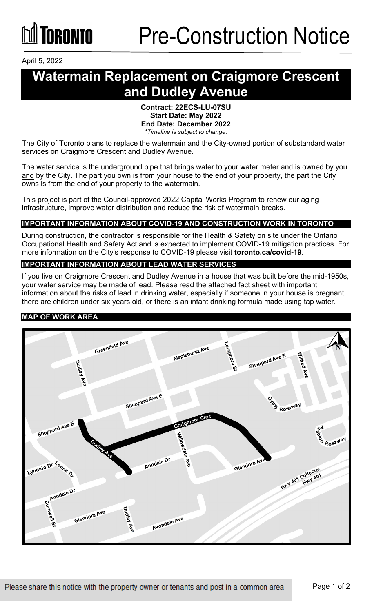April 5, 2022

## **Watermain Replacement on Craigmore Crescent and Dudley Avenue**

#### **Contract: 22ECS-LU-07SU Start Date: May 2022 End Date: December 2022** *\*Timeline is subject to change.*

The City of Toronto plans to replace the watermain and the City-owned portion of substandard water services on Craigmore Crescent and Dudley Avenue.

The water service is the underground pipe that brings water to your water meter and is owned by you and by the City. The part you own is from your house to the end of your property, the part the City owns is from the end of your property to the watermain.

This project is part of the Council-approved 2022 Capital Works Program to renew our aging infrastructure, improve water distribution and reduce the risk of watermain breaks.

#### **IMPORTANT INFORMATION ABOUT COVID-19 AND CONSTRUCTION WORK IN TORONTO**

During construction, the contractor is responsible for the Health & Safety on site under the Ontario Occupational Health and Safety Act and is expected to implement COVID-19 mitigation practices. For more information on the City's response to COVID-19 please visit **[toronto.ca/covid-19](http://www.toronto.ca/covid-19)**.

#### **IMPORTANT INFORMATION ABOUT LEAD WATER SERVICES**

If you live on Craigmore Crescent and Dudley Avenue in a house that was built before the mid-1950s, your water service may be made of lead. Please read the attached fact sheet with important information about the risks of lead in drinking water, especially if someone in your house is pregnant, there are children under six years old, or there is an infant drinking formula made using tap water.

#### **MAP OF WORK AREA**